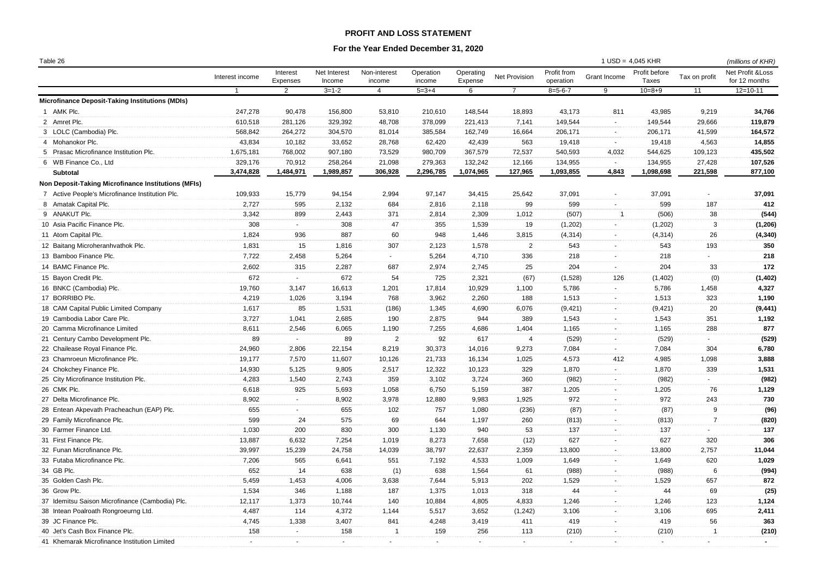## **PROFIT AND LOSS STATEMENT**

## **For the Year Ended December 31, 2020**

| Table 26                                            |                 |                      |                        |                        |                     |                      |                |                          | $1$ USD = 4,045 KHR |                        |                | (millions of KHR)                             |
|-----------------------------------------------------|-----------------|----------------------|------------------------|------------------------|---------------------|----------------------|----------------|--------------------------|---------------------|------------------------|----------------|-----------------------------------------------|
|                                                     | Interest income | Interest<br>Expenses | Net Interest<br>Income | Non-interest<br>income | Operation<br>income | Operating<br>Expense | Net Provision  | Profit from<br>operation | Grant Income        | Profit before<br>Taxes | Tax on profit  | <b>Net Profit &amp; Loss</b><br>for 12 months |
|                                                     | $\overline{1}$  | 2                    | $3 = 1 - 2$            | $\overline{4}$         | $5 = 3 + 4$         | 6                    | $\overline{7}$ | $8 = 5 - 6 - 7$          | 9                   | $10 = 8 + 9$           | 11             | $12 = 10 - 11$                                |
| Microfinance Deposit-Taking Institutions (MDIs)     |                 |                      |                        |                        |                     |                      |                |                          |                     |                        |                |                                               |
| 1 AMK Plc.                                          | 247,278         | 90,478               | 156,800                | 53,810                 | 210,610             | 148,544              | 18,893         | 43,173                   | 811                 | 43,985                 | 9,219          | 34,766                                        |
| 2 Amret Plc.                                        | 610,518         | 281,126              | 329,392                | 48,708                 | 378,099             | 221,413              | 7,141          | 149,544                  | $\sim$              | 149,544                | 29,666         | 119,879                                       |
| 3 LOLC (Cambodia) Plc.                              | 568,842         | 264,272              | 304,570                | 81,014                 | 385,584             | 162,749              | 16,664         | 206,171                  | $\sim$              | 206,171                | 41,599         | 164,572                                       |
| 4 Mohanokor Plc.                                    | 43,834          | 10,182               | 33,652                 | 28,768                 | 62,420              | 42,439               | 563            | 19,418                   | $\sim$              | 19,418                 | 4,563          | 14,855                                        |
| 5 Prasac Microfinance Institution Plc.              | 1,675,181       | 768,002              | 907,180                | 73,529                 | 980,709             | 367,579              | 72,537         | 540,593                  | 4,032               | 544,625                | 109,123        | 435,502                                       |
| 6 WB Finance Co., Ltd                               | 329,176         | 70,912               | 258,264                | 21,098                 | 279,363             | 132,242              | 12,166         | 134,955                  | $\sim$              | 134,955                | 27,428         | 107,526                                       |
| Subtotal                                            | 3,474,828       | 1,484,971            | 1,989,857              | 306,928                | 2,296,785           | 1,074,965            | 127,965        | 1,093,855                | 4,843               | 1,098,698              | 221,598        | 877,100                                       |
| Non Deposit-Taking Microfinance Institutions (MFIs) |                 |                      |                        |                        |                     |                      |                |                          |                     |                        |                |                                               |
| 7 Active People's Microfinance Institution Plc.     | 109,933         | 15,779               | 94,154                 | 2,994                  | 97,147              | 34,415               | 25,642         | 37,091                   | $\sim$              | 37,091                 | $\sim$         | 37,091                                        |
| 8 Amatak Capital Plc.                               | 2,727           | 595                  | 2,132                  | 684                    | 2,816               | 2,118                | 99             | 599                      | $\sim$              | 599                    | 187            | 412                                           |
| 9 ANAKUT Plc.                                       | 3,342           | 899                  | 2,443                  | 371                    | 2,814               | 2,309                | 1,012          | (507)                    | -1                  | (506)                  | 38             | (544)                                         |
| 10 Asia Pacific Finance Plc.                        | 308             | $\sim$               | 308                    | 47                     | 355                 | 1,539                | 19             | (1,202)                  | $\sim$              | (1,202)                | 3              | (1, 206)                                      |
| 11 Atom Capital Plc.                                | 1,824           | 936                  | 887                    | 60                     | 948                 | 1,446                | 3,815          | (4, 314)                 | $\sim$              | (4, 314)               | 26             | (4, 340)                                      |
| 12 Baitang Microheranhvathok Plc.                   | 1,831           | 15                   | 1,816                  | 307                    | 2,123               | 1,578                | $\overline{2}$ | 543                      | $\sim$              | 543                    | 193            | 350                                           |
| 13 Bamboo Finance Plc.                              | 7,722           | 2,458                | 5,264                  | $\sim$                 | 5,264               | 4,710                | 336            | 218                      | $\sim$              | 218                    | $\sim$         | 218                                           |
| 14 BAMC Finance Plc.                                | 2,602           | 315                  | 2,287                  | 687                    | 2,974               | 2,745                | 25             | 204                      | $\sim$              | 204                    | 33             | 172                                           |
| 15 Bayon Credit Plc.                                | 672             | $\sim$               | 672                    | 54                     | 725                 | 2,321                | (67)           | (1,528)                  | 126                 | (1,402)                | (0)            | (1, 402)                                      |
| 16 BNKC (Cambodia) Plc.                             | 19,760          | 3,147                | 16,613                 | 1,201                  | 17,814              | 10,929               | 1,100          | 5,786                    | $\sim$              | 5,786                  | 1,458          | 4,327                                         |
| 17 BORRIBO Plc.                                     | 4,219           | 1,026                | 3,194                  | 768                    | 3,962               | 2,260                | 188            | 1,513                    | $\sim$              | 1,513                  | 323            | 1,190                                         |
| 18 CAM Capital Public Limited Company               | 1,617           | 85                   | 1,531                  | (186)                  | 1,345               | 4,690                | 6,076          | (9, 421)                 | $\sim$              | (9, 421)               | 20             | (9, 441)                                      |
| 19 Cambodia Labor Care Plc.                         | 3,727           | 1,041                | 2,685                  | 190                    | 2,875               | 944                  | 389            | 1,543                    | $\sim$              | 1,543                  | 351            | 1,192                                         |
| 20 Camma Microfinance Limited                       | 8,611           | 2,546                | 6,065                  | 1,190                  | 7,255               | 4,686                | 1,404          | 1,165                    | $\sim$              | 1,165                  | 288            | 877                                           |
| 21 Century Cambo Development Plc.                   | 89              | $\sim$               | 89                     | 2                      | 92                  | 617                  | $\overline{4}$ | (529)                    |                     | (529)                  | $\sim$         | (529)                                         |
| 22 Chailease Royal Finance Plc.                     | 24,960          | 2,806                | 22,154                 | 8,219                  | 30,373              | 14,016               | 9,273          | 7,084                    | $\sim$              | 7,084                  | 304            | 6,780                                         |
| 23 Chamroeun Microfinance Plc.                      | 19,177          | 7,570                | 11,607                 | 10,126                 | 21,733              | 16,134               | 1,025          | 4,573                    | 412                 | 4,985                  | 1,098          | 3,888                                         |
| 24 Chokchey Finance Plc.                            | 14,930          | 5,125                | 9,805                  | 2,517                  | 12,322              | 10,123               | 329            | 1,870                    | $\sim$              | 1,870                  | 339            | 1,531                                         |
| 25 City Microfinance Institution Plc.               | 4,283           | 1,540                | 2,743                  | 359                    | 3,102               | 3,724                | 360            | (982)                    | $\sim$              | (982)                  | $\sim$         | (982)                                         |
| 26 CMK Plc.                                         | 6,618           | 925                  | 5,693                  | 1,058                  | 6,750               | 5,159                | 387            | 1,205                    | $\sim$              | 1,205                  | 76             | 1,129                                         |
| 27 Delta Microfinance Plc.                          | 8,902           | $\sim$               | 8,902                  | 3,978                  | 12,880              | 9,983                | 1,925          | 972                      | $\sim$              | 972                    | 243            | 730                                           |
| 28 Entean Akpevath Pracheachun (EAP) Plc.           | 655             | $\sim$               | 655                    | 102                    | 757                 | 1,080                | (236)          | (87)                     | $\sim$              | (87)                   | 9              | (96)                                          |
| 29 Family Microfinance Plc.                         | 599             | 24                   | 575                    | 69                     | 644                 | 1,197                | 260            | (813)                    | $\sim$              | (813)                  | $\overline{7}$ | (820)                                         |
| 30 Farmer Finance Ltd.                              | 1,030           | 200                  | 830                    | 300                    | 1,130               | 940                  | 53             | 137                      | $\sim$              | 137                    | $\sim$         | 137                                           |
| 31 First Finance Plc.                               | 13,887          | 6,632                | 7,254                  | 1,019                  | 8,273               | 7,658                | (12)           | 627                      | $\sim$              | 627                    | 320            | 306                                           |
| 32 Funan Microfinance Plc.                          | 39,997          | 15,239               | 24,758                 | 14,039                 | 38,797              | 22,637               | 2,359          | 13,800                   | $\sim$              | 13,800                 | 2,757          | 11,044                                        |
| 33 Futaba Microfinance Plc.                         | 7,206           | 565                  | 6,641                  | 551                    | 7,192               | 4,533                | 1,009          | 1,649                    | $\sim$              | 1,649                  | 620            | 1,029                                         |
| 34 GB Plc.                                          | 652             | 14                   | 638                    | (1)                    | 638                 | 1,564                | 61             | (988)                    | $\sim$              | (988)                  | 6              | (994)                                         |
| 35 Golden Cash Plc.                                 | 5,459           | 1,453                | 4,006                  | 3,638                  | 7,644               | 5,913                | 202            | 1,529                    | $\sim$              | 1,529                  | 657            | 872                                           |
| 36 Grow Plc.                                        | 1,534           | 346                  | 1,188                  | 187                    | 1,375               | 1,013                | 318            | 44                       | $\sim$              | 44                     | 69             | (25)                                          |
| 37 Idemitsu Saison Microfinance (Cambodia) Plc.     | 12,117          | 1,373                | 10,744                 | 140                    | 10,884              | 4,805                | 4,833          | 1,246                    | $\sim$              | 1,246                  | 123            | 1,124                                         |
| 38 Intean Poalroath Rongroeurng Ltd.                | 4,487           | 114                  | 4,372                  | 1,144                  | 5,517               | 3,652                | (1, 242)       | 3,106                    | $\sim$              | 3,106                  | 695            | 2,411                                         |
| 39 JC Finance Plc.                                  | 4,745           | 1,338                | 3,407                  | 841                    | 4,248               | 3,419                | 411            | 419                      | $\sim$              | 419                    | 56             | 363                                           |
| 40 Jet's Cash Box Finance Plc.                      | 158             | $\sim$               | 158                    | $\overline{1}$         | 159                 | 256                  | 113            | (210)                    | $\sim$              | (210)                  | $\overline{1}$ | (210)                                         |
| 41 Khemarak Microfinance Institution Limited        | $\sim$          | ÷.                   | $\sim$                 | $\sim$                 | $\sim$              | $\sim$               | $\sim$         | $\sim$                   | $\sim$              | $\sim$                 |                | $\blacksquare$                                |